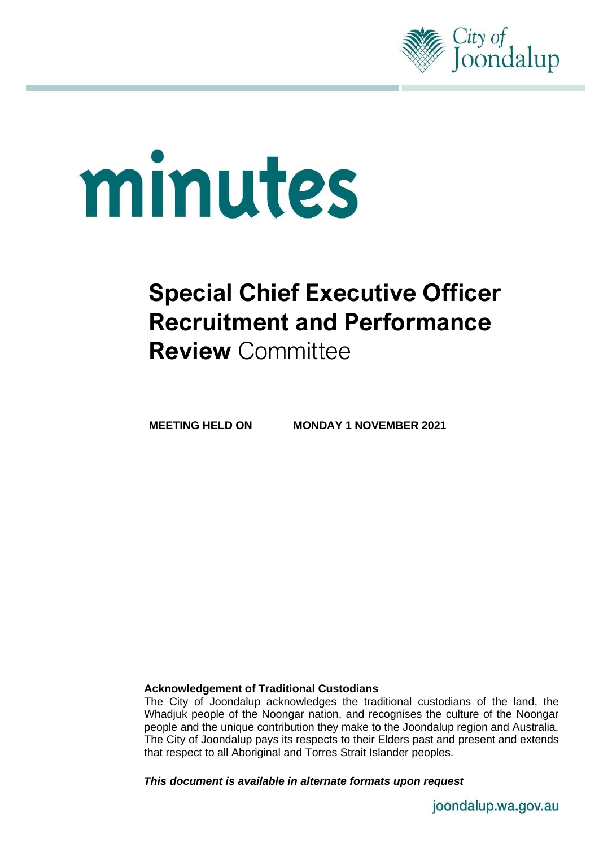

# minutes

# **Special Chief Executive Officer Recruitment and Performance Review** Committee

**MEETING HELD ON MONDAY 1 NOVEMBER 2021**

# **Acknowledgement of Traditional Custodians**

The City of Joondalup acknowledges the traditional custodians of the land, the Whadjuk people of the Noongar nation, and recognises the culture of the Noongar people and the unique contribution they make to the Joondalup region and Australia. The City of Joondalup pays its respects to their Elders past and present and extends that respect to all Aboriginal and Torres Strait Islander peoples.

*This document is available in alternate formats upon request*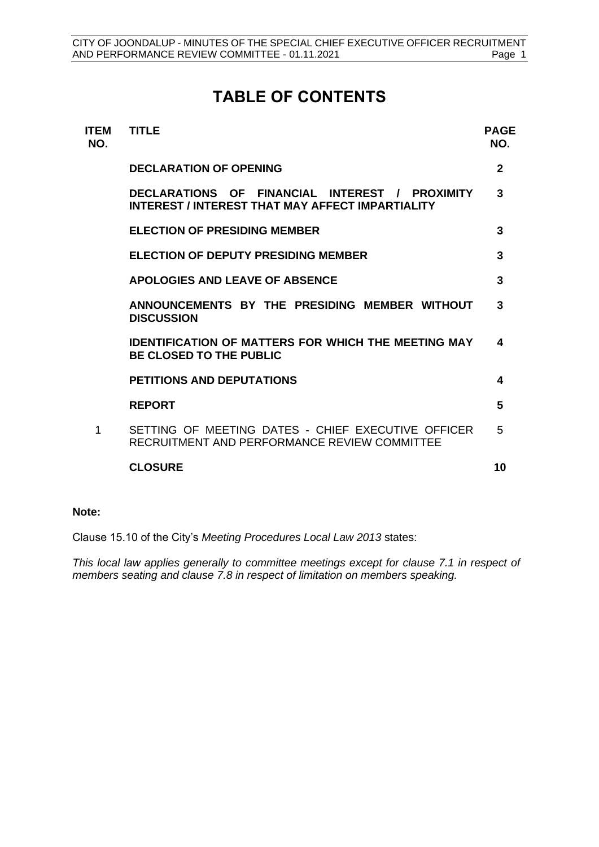# **TABLE OF CONTENTS**

| <b>ITEM</b><br>NO. | <b>TITLE</b>                                                                                       | <b>PAGE</b><br>NO. |
|--------------------|----------------------------------------------------------------------------------------------------|--------------------|
|                    | <b>DECLARATION OF OPENING</b>                                                                      | $\mathbf{2}$       |
|                    | DECLARATIONS OF FINANCIAL INTEREST / PROXIMITY<br>INTEREST / INTEREST THAT MAY AFFECT IMPARTIALITY | 3                  |
|                    | <b>ELECTION OF PRESIDING MEMBER</b>                                                                | 3                  |
|                    | <b>ELECTION OF DEPUTY PRESIDING MEMBER</b>                                                         | 3                  |
|                    | <b>APOLOGIES AND LEAVE OF ABSENCE</b>                                                              | 3                  |
|                    | ANNOUNCEMENTS BY THE PRESIDING MEMBER WITHOUT<br><b>DISCUSSION</b>                                 | 3                  |
|                    | <b>IDENTIFICATION OF MATTERS FOR WHICH THE MEETING MAY</b><br><b>BE CLOSED TO THE PUBLIC</b>       |                    |
|                    | <b>PETITIONS AND DEPUTATIONS</b>                                                                   | 4                  |
|                    | <b>REPORT</b>                                                                                      | 5                  |
| 1                  | SETTING OF MEETING DATES - CHIEF EXECUTIVE OFFICER<br>RECRUITMENT AND PERFORMANCE REVIEW COMMITTEE | 5                  |
|                    | <b>CLOSURE</b>                                                                                     | 10                 |
|                    |                                                                                                    |                    |

### **Note:**

Clause 15.10 of the City's *Meeting Procedures Local Law 2013* states:

*This local law applies generally to committee meetings except for clause 7.1 in respect of members seating and clause 7.8 in respect of limitation on members speaking.*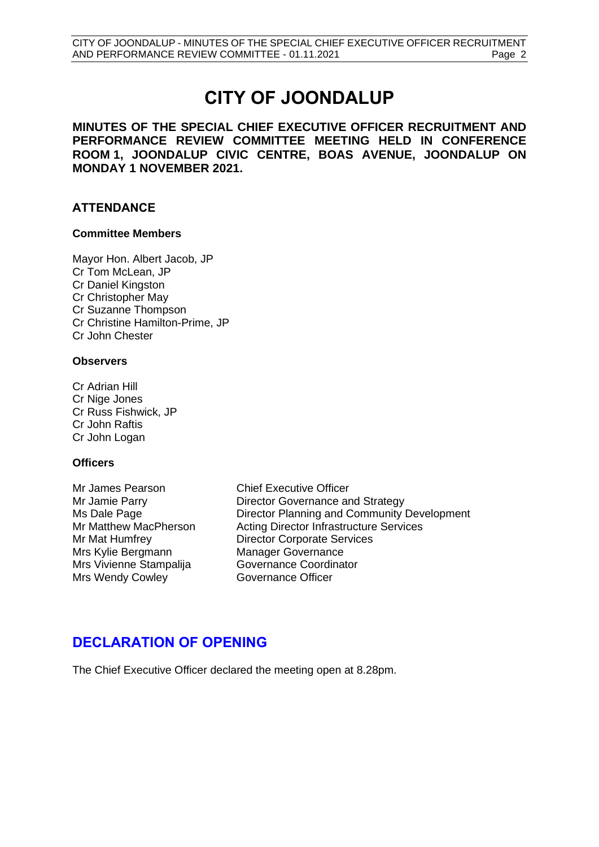# **CITY OF JOONDALUP**

**MINUTES OF THE SPECIAL CHIEF EXECUTIVE OFFICER RECRUITMENT AND PERFORMANCE REVIEW COMMITTEE MEETING HELD IN CONFERENCE ROOM 1, JOONDALUP CIVIC CENTRE, BOAS AVENUE, JOONDALUP ON MONDAY 1 NOVEMBER 2021.**

# **ATTENDANCE**

### **Committee Members**

Mayor Hon. Albert Jacob, JP Cr Tom McLean, JP Cr Daniel Kingston Cr Christopher May Cr Suzanne Thompson Cr Christine Hamilton-Prime, JP Cr John Chester

### **Observers**

Cr Adrian Hill Cr Nige Jones Cr Russ Fishwick, JP Cr John Raftis Cr John Logan

### **Officers**

Mr James Pearson Chief Executive Officer Mrs Kylie Bergmann Manager Governance Mrs Vivienne Stampalija Governance Coordinator Mrs Wendy Cowley **Governance Officer** 

Mr Jamie Parry **Director Governance and Strategy** Ms Dale Page Director Planning and Community Development Mr Matthew MacPherson Acting Director Infrastructure Services Mr Mat Humfrey Director Corporate Services

# <span id="page-2-0"></span>**DECLARATION OF OPENING**

The Chief Executive Officer declared the meeting open at 8.28pm.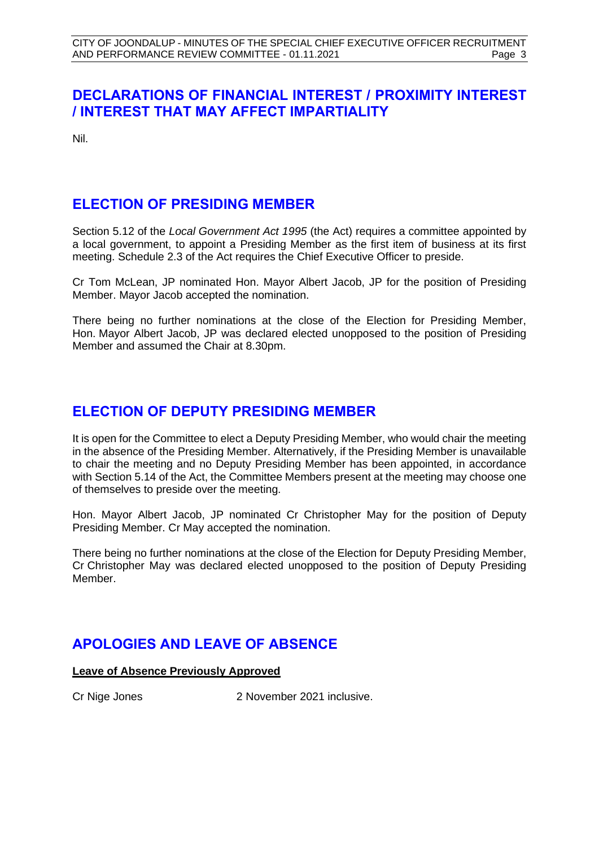# <span id="page-3-0"></span>**DECLARATIONS OF FINANCIAL INTEREST / PROXIMITY INTEREST / INTEREST THAT MAY AFFECT IMPARTIALITY**

Nil.

# <span id="page-3-1"></span>**ELECTION OF PRESIDING MEMBER**

Section 5.12 of the *Local Government Act 1995* (the Act) requires a committee appointed by a local government, to appoint a Presiding Member as the first item of business at its first meeting. Schedule 2.3 of the Act requires the Chief Executive Officer to preside.

Cr Tom McLean, JP nominated Hon. Mayor Albert Jacob, JP for the position of Presiding Member. Mayor Jacob accepted the nomination.

There being no further nominations at the close of the Election for Presiding Member, Hon. Mayor Albert Jacob, JP was declared elected unopposed to the position of Presiding Member and assumed the Chair at 8.30pm.

# <span id="page-3-2"></span>**ELECTION OF DEPUTY PRESIDING MEMBER**

It is open for the Committee to elect a Deputy Presiding Member, who would chair the meeting in the absence of the Presiding Member. Alternatively, if the Presiding Member is unavailable to chair the meeting and no Deputy Presiding Member has been appointed, in accordance with Section 5.14 of the Act, the Committee Members present at the meeting may choose one of themselves to preside over the meeting.

Hon. Mayor Albert Jacob, JP nominated Cr Christopher May for the position of Deputy Presiding Member. Cr May accepted the nomination.

There being no further nominations at the close of the Election for Deputy Presiding Member, Cr Christopher May was declared elected unopposed to the position of Deputy Presiding Member.

# <span id="page-3-3"></span>**APOLOGIES AND LEAVE OF ABSENCE**

# **Leave of Absence Previously Approved**

<span id="page-3-4"></span>Cr Nige Jones 2 November 2021 inclusive.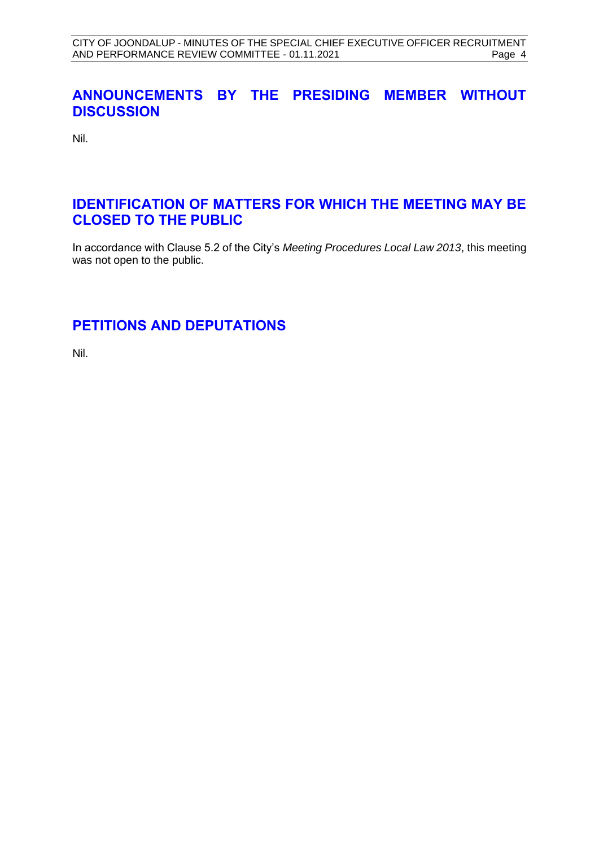# **ANNOUNCEMENTS BY THE PRESIDING MEMBER WITHOUT DISCUSSION**

Nil.

# <span id="page-4-0"></span>**IDENTIFICATION OF MATTERS FOR WHICH THE MEETING MAY BE CLOSED TO THE PUBLIC**

In accordance with Clause 5.2 of the City's *Meeting Procedures Local Law 2013*, this meeting was not open to the public.

# <span id="page-4-1"></span>**PETITIONS AND DEPUTATIONS**

Nil.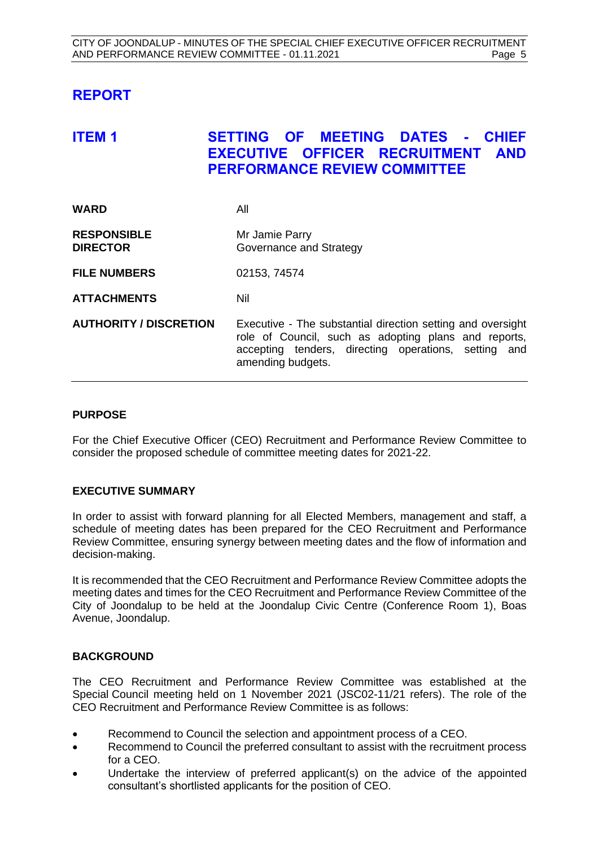# <span id="page-5-0"></span>**REPORT**

# <span id="page-5-1"></span>**ITEM 1 SETTING OF MEETING DATES - CHIEF EXECUTIVE OFFICER RECRUITMENT AND PERFORMANCE REVIEW COMMITTEE**

| <b>WARD</b>                           | All                                                                                                                                                                                              |
|---------------------------------------|--------------------------------------------------------------------------------------------------------------------------------------------------------------------------------------------------|
| <b>RESPONSIBLE</b><br><b>DIRECTOR</b> | Mr Jamie Parry<br>Governance and Strategy                                                                                                                                                        |
| <b>FILE NUMBERS</b>                   | 02153, 74574                                                                                                                                                                                     |
| <b>ATTACHMENTS</b>                    | Nil                                                                                                                                                                                              |
| <b>AUTHORITY / DISCRETION</b>         | Executive - The substantial direction setting and oversight<br>role of Council, such as adopting plans and reports,<br>accepting tenders, directing operations, setting and<br>amending budgets. |

### **PURPOSE**

For the Chief Executive Officer (CEO) Recruitment and Performance Review Committee to consider the proposed schedule of committee meeting dates for 2021-22.

# **EXECUTIVE SUMMARY**

In order to assist with forward planning for all Elected Members, management and staff, a schedule of meeting dates has been prepared for the CEO Recruitment and Performance Review Committee, ensuring synergy between meeting dates and the flow of information and decision-making.

It is recommended that the CEO Recruitment and Performance Review Committee adopts the meeting dates and times for the CEO Recruitment and Performance Review Committee of the City of Joondalup to be held at the Joondalup Civic Centre (Conference Room 1), Boas Avenue, Joondalup.

# **BACKGROUND**

The CEO Recruitment and Performance Review Committee was established at the Special Council meeting held on 1 November 2021 (JSC02-11/21 refers). The role of the CEO Recruitment and Performance Review Committee is as follows:

- Recommend to Council the selection and appointment process of a CEO.
- Recommend to Council the preferred consultant to assist with the recruitment process for a CEO.
- Undertake the interview of preferred applicant(s) on the advice of the appointed consultant's shortlisted applicants for the position of CEO.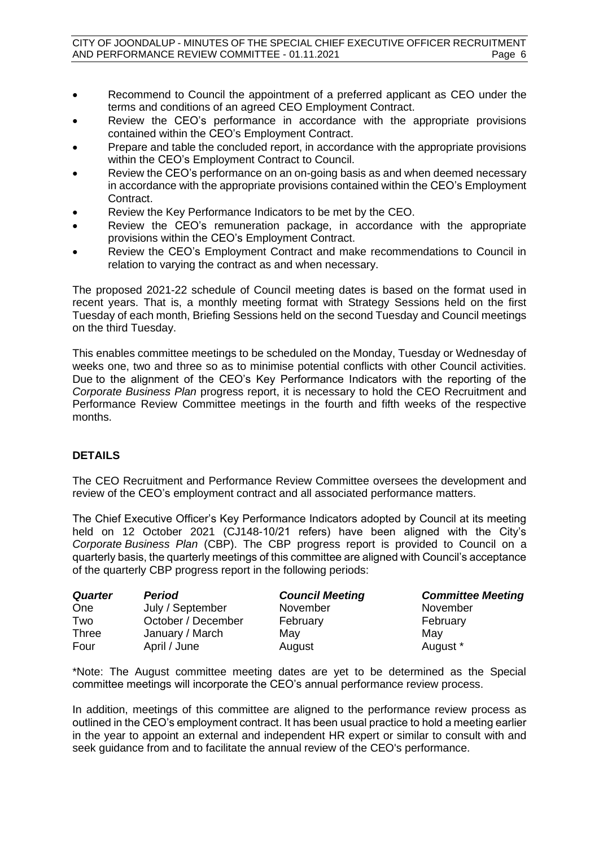- Recommend to Council the appointment of a preferred applicant as CEO under the terms and conditions of an agreed CEO Employment Contract.
- Review the CEO's performance in accordance with the appropriate provisions contained within the CEO's Employment Contract.
- Prepare and table the concluded report, in accordance with the appropriate provisions within the CEO's Employment Contract to Council.
- Review the CEO's performance on an on-going basis as and when deemed necessary in accordance with the appropriate provisions contained within the CEO's Employment Contract.
- Review the Key Performance Indicators to be met by the CEO.
- Review the CEO's remuneration package, in accordance with the appropriate provisions within the CEO's Employment Contract.
- Review the CEO's Employment Contract and make recommendations to Council in relation to varying the contract as and when necessary.

The proposed 2021-22 schedule of Council meeting dates is based on the format used in recent years. That is, a monthly meeting format with Strategy Sessions held on the first Tuesday of each month, Briefing Sessions held on the second Tuesday and Council meetings on the third Tuesday.

This enables committee meetings to be scheduled on the Monday, Tuesday or Wednesday of weeks one, two and three so as to minimise potential conflicts with other Council activities. Due to the alignment of the CEO's Key Performance Indicators with the reporting of the *Corporate Business Plan* progress report, it is necessary to hold the CEO Recruitment and Performance Review Committee meetings in the fourth and fifth weeks of the respective months.

# **DETAILS**

The CEO Recruitment and Performance Review Committee oversees the development and review of the CEO's employment contract and all associated performance matters.

The Chief Executive Officer's Key Performance Indicators adopted by Council at its meeting held on 12 October 2021 (CJ148-10/21 refers) have been aligned with the City's *Corporate Business Plan* (CBP). The CBP progress report is provided to Council on a quarterly basis, the quarterly meetings of this committee are aligned with Council's acceptance of the quarterly CBP progress report in the following periods:

| <b>Quarter</b> | <b>Period</b>      | <b>Council Meeting</b> | <b>Committee Meeting</b> |
|----------------|--------------------|------------------------|--------------------------|
| One            | July / September   | November               | November                 |
| Two            | October / December | February               | February                 |
| <b>Three</b>   | January / March    | May                    | May                      |
| Four           | April / June       | August                 | August *                 |

\*Note: The August committee meeting dates are yet to be determined as the Special committee meetings will incorporate the CEO's annual performance review process.

In addition, meetings of this committee are aligned to the performance review process as outlined in the CEO's employment contract. It has been usual practice to hold a meeting earlier in the year to appoint an external and independent HR expert or similar to consult with and seek guidance from and to facilitate the annual review of the CEO's performance.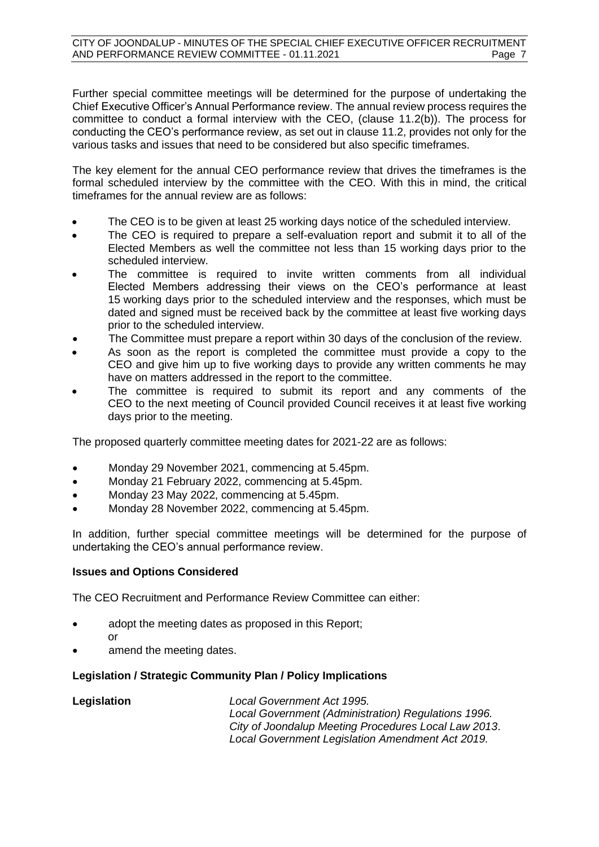Further special committee meetings will be determined for the purpose of undertaking the Chief Executive Officer's Annual Performance review. The annual review process requires the committee to conduct a formal interview with the CEO, (clause 11.2(b)). The process for conducting the CEO's performance review, as set out in clause 11.2, provides not only for the various tasks and issues that need to be considered but also specific timeframes.

The key element for the annual CEO performance review that drives the timeframes is the formal scheduled interview by the committee with the CEO. With this in mind, the critical timeframes for the annual review are as follows:

- The CEO is to be given at least 25 working days notice of the scheduled interview.
- The CEO is required to prepare a self-evaluation report and submit it to all of the Elected Members as well the committee not less than 15 working days prior to the scheduled interview.
- The committee is required to invite written comments from all individual Elected Members addressing their views on the CEO's performance at least 15 working days prior to the scheduled interview and the responses, which must be dated and signed must be received back by the committee at least five working days prior to the scheduled interview.
- The Committee must prepare a report within 30 days of the conclusion of the review.
- As soon as the report is completed the committee must provide a copy to the CEO and give him up to five working days to provide any written comments he may have on matters addressed in the report to the committee.
- The committee is required to submit its report and any comments of the CEO to the next meeting of Council provided Council receives it at least five working days prior to the meeting.

The proposed quarterly committee meeting dates for 2021-22 are as follows:

- Monday 29 November 2021, commencing at 5.45pm.
- Monday 21 February 2022, commencing at 5.45pm.
- Monday 23 May 2022, commencing at 5.45pm.
- Monday 28 November 2022, commencing at 5.45pm.

In addition, further special committee meetings will be determined for the purpose of undertaking the CEO's annual performance review.

# **Issues and Options Considered**

The CEO Recruitment and Performance Review Committee can either:

- adopt the meeting dates as proposed in this Report; or
- amend the meeting dates.

# **Legislation / Strategic Community Plan / Policy Implications**

| Legislation | Local Government Act 1995.                           |
|-------------|------------------------------------------------------|
|             | Local Government (Administration) Regulations 1996.  |
|             | City of Joondalup Meeting Procedures Local Law 2013. |
|             | Local Government Legislation Amendment Act 2019.     |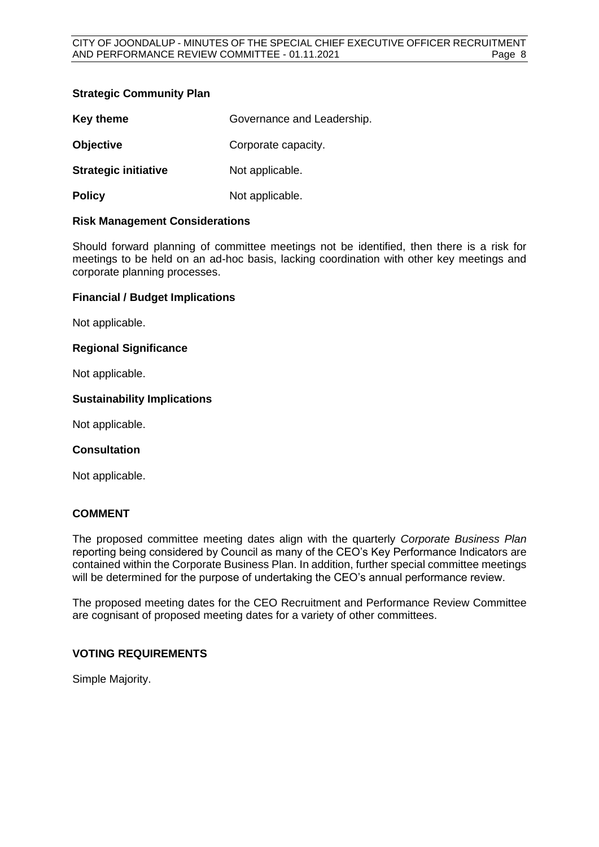# **Strategic Community Plan**

| <b>Key theme</b>            | Governance and Leadership. |
|-----------------------------|----------------------------|
| <b>Objective</b>            | Corporate capacity.        |
| <b>Strategic initiative</b> | Not applicable.            |
| <b>Policy</b>               | Not applicable.            |

### **Risk Management Considerations**

Should forward planning of committee meetings not be identified, then there is a risk for meetings to be held on an ad-hoc basis, lacking coordination with other key meetings and corporate planning processes.

### **Financial / Budget Implications**

Not applicable.

# **Regional Significance**

Not applicable.

### **Sustainability Implications**

Not applicable.

### **Consultation**

Not applicable.

### **COMMENT**

The proposed committee meeting dates align with the quarterly *Corporate Business Plan* reporting being considered by Council as many of the CEO's Key Performance Indicators are contained within the Corporate Business Plan. In addition, further special committee meetings will be determined for the purpose of undertaking the CEO's annual performance review.

The proposed meeting dates for the CEO Recruitment and Performance Review Committee are cognisant of proposed meeting dates for a variety of other committees.

# **VOTING REQUIREMENTS**

Simple Majority.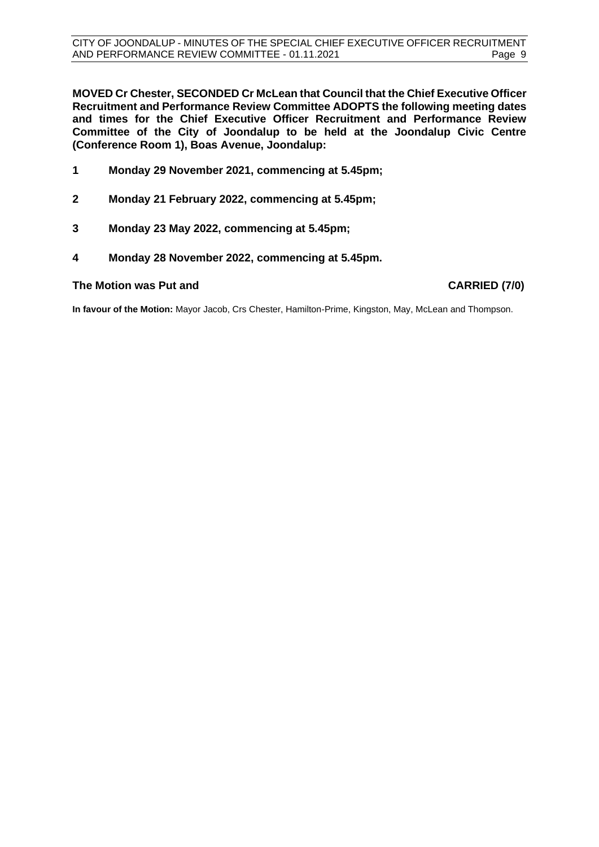**MOVED Cr Chester, SECONDED Cr McLean that Council that the Chief Executive Officer Recruitment and Performance Review Committee ADOPTS the following meeting dates and times for the Chief Executive Officer Recruitment and Performance Review Committee of the City of Joondalup to be held at the Joondalup Civic Centre (Conference Room 1), Boas Avenue, Joondalup:**

- **1 Monday 29 November 2021, commencing at 5.45pm;**
- **2 Monday 21 February 2022, commencing at 5.45pm;**
- **3 Monday 23 May 2022, commencing at 5.45pm;**
- **4 Monday 28 November 2022, commencing at 5.45pm.**

### **The Motion was Put and CARRIED (7/0)**

**In favour of the Motion:** Mayor Jacob, Crs Chester, Hamilton-Prime, Kingston, May, McLean and Thompson.